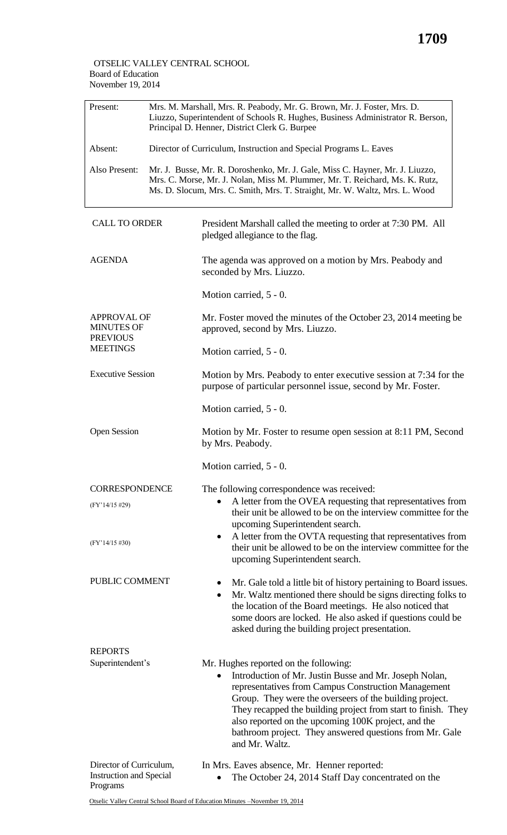## OTSELIC VALLEY CENTRAL SCHOOL Board of Education November 19, 2014

| Present:                                                              | Mrs. M. Marshall, Mrs. R. Peabody, Mr. G. Brown, Mr. J. Foster, Mrs. D.<br>Liuzzo, Superintendent of Schools R. Hughes, Business Administrator R. Berson,<br>Principal D. Henner, District Clerk G. Burpee |                                                                                                                                                                                                                                                                                                                                                                                                                                     |  |  |
|-----------------------------------------------------------------------|------------------------------------------------------------------------------------------------------------------------------------------------------------------------------------------------------------|-------------------------------------------------------------------------------------------------------------------------------------------------------------------------------------------------------------------------------------------------------------------------------------------------------------------------------------------------------------------------------------------------------------------------------------|--|--|
| Absent:                                                               | Director of Curriculum, Instruction and Special Programs L. Eaves                                                                                                                                          |                                                                                                                                                                                                                                                                                                                                                                                                                                     |  |  |
| Also Present:                                                         |                                                                                                                                                                                                            | Mr. J. Busse, Mr. R. Doroshenko, Mr. J. Gale, Miss C. Hayner, Mr. J. Liuzzo,<br>Mrs. C. Morse, Mr. J. Nolan, Miss M. Plummer, Mr. T. Reichard, Ms. K. Rutz,<br>Ms. D. Slocum, Mrs. C. Smith, Mrs. T. Straight, Mr. W. Waltz, Mrs. L. Wood                                                                                                                                                                                           |  |  |
| <b>CALL TO ORDER</b>                                                  |                                                                                                                                                                                                            | President Marshall called the meeting to order at 7:30 PM. All<br>pledged allegiance to the flag.                                                                                                                                                                                                                                                                                                                                   |  |  |
| <b>AGENDA</b>                                                         |                                                                                                                                                                                                            | The agenda was approved on a motion by Mrs. Peabody and<br>seconded by Mrs. Liuzzo.                                                                                                                                                                                                                                                                                                                                                 |  |  |
|                                                                       |                                                                                                                                                                                                            | Motion carried, 5 - 0.                                                                                                                                                                                                                                                                                                                                                                                                              |  |  |
| <b>APPROVAL OF</b><br><b>MINUTES OF</b><br><b>PREVIOUS</b>            |                                                                                                                                                                                                            | Mr. Foster moved the minutes of the October 23, 2014 meeting be<br>approved, second by Mrs. Liuzzo.                                                                                                                                                                                                                                                                                                                                 |  |  |
| <b>MEETINGS</b>                                                       |                                                                                                                                                                                                            | Motion carried, 5 - 0.                                                                                                                                                                                                                                                                                                                                                                                                              |  |  |
| <b>Executive Session</b>                                              |                                                                                                                                                                                                            | Motion by Mrs. Peabody to enter executive session at 7:34 for the<br>purpose of particular personnel issue, second by Mr. Foster.                                                                                                                                                                                                                                                                                                   |  |  |
|                                                                       |                                                                                                                                                                                                            | Motion carried, 5 - 0.                                                                                                                                                                                                                                                                                                                                                                                                              |  |  |
| <b>Open Session</b>                                                   |                                                                                                                                                                                                            | Motion by Mr. Foster to resume open session at 8:11 PM, Second<br>by Mrs. Peabody.                                                                                                                                                                                                                                                                                                                                                  |  |  |
|                                                                       |                                                                                                                                                                                                            | Motion carried, 5 - 0.                                                                                                                                                                                                                                                                                                                                                                                                              |  |  |
| <b>CORRESPONDENCE</b>                                                 |                                                                                                                                                                                                            | The following correspondence was received:                                                                                                                                                                                                                                                                                                                                                                                          |  |  |
| (FY'14/15 #29)                                                        |                                                                                                                                                                                                            | A letter from the OVEA requesting that representatives from<br>٠<br>their unit be allowed to be on the interview committee for the<br>upcoming Superintendent search.                                                                                                                                                                                                                                                               |  |  |
| $(FY'14/15\#30)$                                                      |                                                                                                                                                                                                            | A letter from the OVTA requesting that representatives from<br>$\bullet$<br>their unit be allowed to be on the interview committee for the<br>upcoming Superintendent search.                                                                                                                                                                                                                                                       |  |  |
| PUBLIC COMMENT                                                        |                                                                                                                                                                                                            | Mr. Gale told a little bit of history pertaining to Board issues.<br>٠<br>Mr. Waltz mentioned there should be signs directing folks to<br>$\bullet$<br>the location of the Board meetings. He also noticed that<br>some doors are locked. He also asked if questions could be<br>asked during the building project presentation.                                                                                                    |  |  |
| <b>REPORTS</b>                                                        |                                                                                                                                                                                                            |                                                                                                                                                                                                                                                                                                                                                                                                                                     |  |  |
| Superintendent's                                                      |                                                                                                                                                                                                            | Mr. Hughes reported on the following:<br>Introduction of Mr. Justin Busse and Mr. Joseph Nolan,<br>$\bullet$<br>representatives from Campus Construction Management<br>Group. They were the overseers of the building project.<br>They recapped the building project from start to finish. They<br>also reported on the upcoming 100K project, and the<br>bathroom project. They answered questions from Mr. Gale<br>and Mr. Waltz. |  |  |
| Director of Curriculum,<br><b>Instruction and Special</b><br>Programs |                                                                                                                                                                                                            | In Mrs. Eaves absence, Mr. Henner reported:<br>The October 24, 2014 Staff Day concentrated on the                                                                                                                                                                                                                                                                                                                                   |  |  |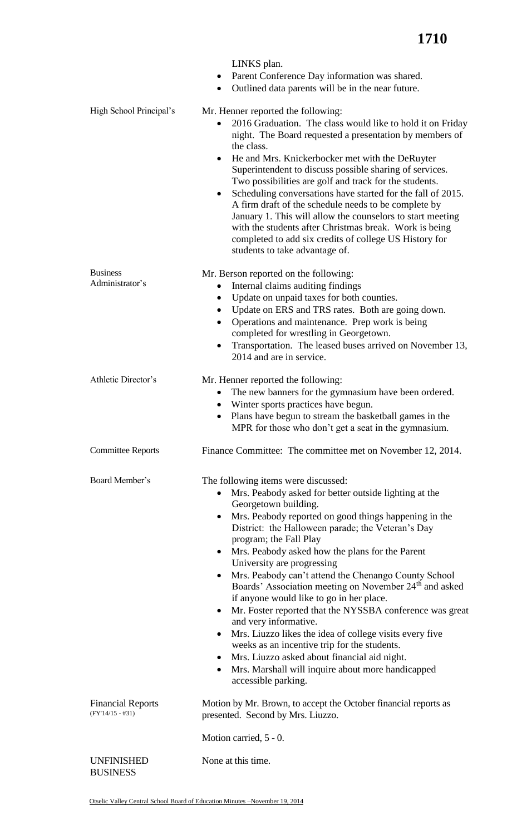|                                                | LINKS plan.<br>Parent Conference Day information was shared.<br>$\bullet$<br>Outlined data parents will be in the near future.<br>$\bullet$                                                                                                                                                                                                                                                                                                                                                                                                                                                                                                                                                                                                                                                                                                                                                                                            |
|------------------------------------------------|----------------------------------------------------------------------------------------------------------------------------------------------------------------------------------------------------------------------------------------------------------------------------------------------------------------------------------------------------------------------------------------------------------------------------------------------------------------------------------------------------------------------------------------------------------------------------------------------------------------------------------------------------------------------------------------------------------------------------------------------------------------------------------------------------------------------------------------------------------------------------------------------------------------------------------------|
| High School Principal's                        | Mr. Henner reported the following:<br>2016 Graduation. The class would like to hold it on Friday<br>$\bullet$<br>night. The Board requested a presentation by members of<br>the class.<br>He and Mrs. Knickerbocker met with the DeRuyter<br>$\bullet$<br>Superintendent to discuss possible sharing of services.<br>Two possibilities are golf and track for the students.<br>Scheduling conversations have started for the fall of 2015.<br>$\bullet$<br>A firm draft of the schedule needs to be complete by<br>January 1. This will allow the counselors to start meeting<br>with the students after Christmas break. Work is being<br>completed to add six credits of college US History for<br>students to take advantage of.                                                                                                                                                                                                    |
| <b>Business</b><br>Administrator's             | Mr. Berson reported on the following:<br>Internal claims auditing findings<br>$\bullet$<br>Update on unpaid taxes for both counties.<br>Update on ERS and TRS rates. Both are going down.<br>$\bullet$<br>Operations and maintenance. Prep work is being<br>$\bullet$<br>completed for wrestling in Georgetown.<br>Transportation. The leased buses arrived on November 13,<br>$\bullet$<br>2014 and are in service.                                                                                                                                                                                                                                                                                                                                                                                                                                                                                                                   |
| Athletic Director's                            | Mr. Henner reported the following:<br>The new banners for the gymnasium have been ordered.<br>$\bullet$<br>Winter sports practices have begun.<br>$\bullet$<br>Plans have begun to stream the basketball games in the<br>$\bullet$<br>MPR for those who don't get a seat in the gymnasium.                                                                                                                                                                                                                                                                                                                                                                                                                                                                                                                                                                                                                                             |
| <b>Committee Reports</b>                       | Finance Committee: The committee met on November 12, 2014.                                                                                                                                                                                                                                                                                                                                                                                                                                                                                                                                                                                                                                                                                                                                                                                                                                                                             |
| Board Member's                                 | The following items were discussed:<br>Mrs. Peabody asked for better outside lighting at the<br>Georgetown building.<br>Mrs. Peabody reported on good things happening in the<br>٠<br>District: the Halloween parade; the Veteran's Day<br>program; the Fall Play<br>Mrs. Peabody asked how the plans for the Parent<br>$\bullet$<br>University are progressing<br>Mrs. Peabody can't attend the Chenango County School<br>$\bullet$<br>Boards' Association meeting on November 24 <sup>th</sup> and asked<br>if anyone would like to go in her place.<br>Mr. Foster reported that the NYSSBA conference was great<br>$\bullet$<br>and very informative.<br>Mrs. Liuzzo likes the idea of college visits every five<br>$\bullet$<br>weeks as an incentive trip for the students.<br>Mrs. Liuzzo asked about financial aid night.<br>$\bullet$<br>Mrs. Marshall will inquire about more handicapped<br>$\bullet$<br>accessible parking. |
| <b>Financial Reports</b><br>$(FY'14/15 - #31)$ | Motion by Mr. Brown, to accept the October financial reports as<br>presented. Second by Mrs. Liuzzo.<br>Motion carried, 5 - 0.                                                                                                                                                                                                                                                                                                                                                                                                                                                                                                                                                                                                                                                                                                                                                                                                         |
| <b>UNFINISHED</b><br><b>BUSINESS</b>           | None at this time.                                                                                                                                                                                                                                                                                                                                                                                                                                                                                                                                                                                                                                                                                                                                                                                                                                                                                                                     |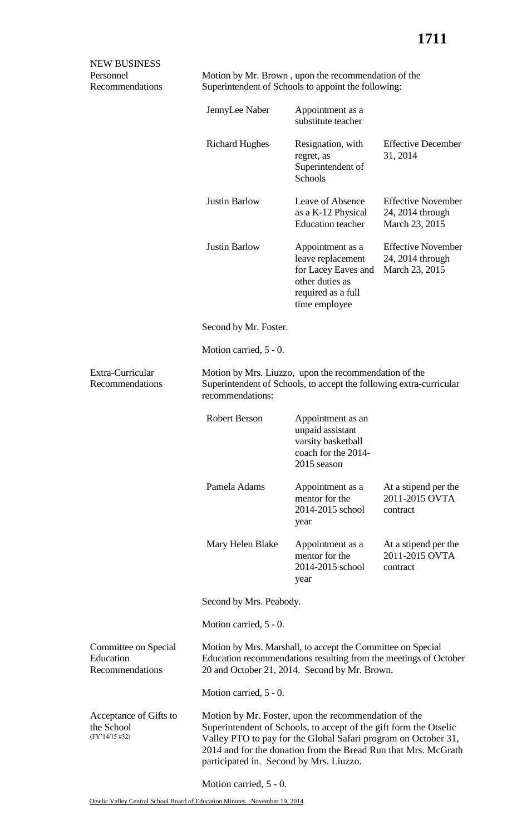| <b>NEW BUSINESS</b><br>Personnel<br>Recommendations    |                                                                                                                                                                                                                                                                                                          | Motion by Mr. Brown, upon the recommendation of the<br>Superintendent of Schools to appoint the following:             |                                                                 |  |  |
|--------------------------------------------------------|----------------------------------------------------------------------------------------------------------------------------------------------------------------------------------------------------------------------------------------------------------------------------------------------------------|------------------------------------------------------------------------------------------------------------------------|-----------------------------------------------------------------|--|--|
|                                                        | JennyLee Naber                                                                                                                                                                                                                                                                                           | Appointment as a<br>substitute teacher                                                                                 |                                                                 |  |  |
|                                                        | <b>Richard Hughes</b>                                                                                                                                                                                                                                                                                    | Resignation, with<br>regret, as<br>Superintendent of<br>Schools                                                        | <b>Effective December</b><br>31, 2014                           |  |  |
|                                                        | <b>Justin Barlow</b>                                                                                                                                                                                                                                                                                     | Leave of Absence<br>as a K-12 Physical<br><b>Education</b> teacher                                                     | <b>Effective November</b><br>24, 2014 through<br>March 23, 2015 |  |  |
|                                                        | <b>Justin Barlow</b>                                                                                                                                                                                                                                                                                     | Appointment as a<br>leave replacement<br>for Lacey Eaves and<br>other duties as<br>required as a full<br>time employee | <b>Effective November</b><br>24, 2014 through<br>March 23, 2015 |  |  |
|                                                        | Second by Mr. Foster.                                                                                                                                                                                                                                                                                    |                                                                                                                        |                                                                 |  |  |
|                                                        | Motion carried, 5 - 0.                                                                                                                                                                                                                                                                                   |                                                                                                                        |                                                                 |  |  |
| Extra-Curricular<br>Recommendations                    | Motion by Mrs. Liuzzo, upon the recommendation of the<br>Superintendent of Schools, to accept the following extra-curricular<br>recommendations:                                                                                                                                                         |                                                                                                                        |                                                                 |  |  |
|                                                        | <b>Robert Berson</b>                                                                                                                                                                                                                                                                                     | Appointment as an<br>unpaid assistant<br>varsity basketball<br>coach for the 2014-<br>2015 season                      |                                                                 |  |  |
|                                                        | Pamela Adams                                                                                                                                                                                                                                                                                             | Appointment as a<br>mentor for the<br>2014-2015 school<br>year                                                         | At a stipend per the<br>2011-2015 OVTA<br>contract              |  |  |
|                                                        | Mary Helen Blake                                                                                                                                                                                                                                                                                         | Appointment as a<br>mentor for the<br>2014-2015 school<br>year                                                         | At a stipend per the<br>2011-2015 OVTA<br>contract              |  |  |
|                                                        | Second by Mrs. Peabody.                                                                                                                                                                                                                                                                                  |                                                                                                                        |                                                                 |  |  |
|                                                        | Motion carried, 5 - 0.                                                                                                                                                                                                                                                                                   |                                                                                                                        |                                                                 |  |  |
| Committee on Special<br>Education<br>Recommendations   | Motion by Mrs. Marshall, to accept the Committee on Special<br>Education recommendations resulting from the meetings of October<br>20 and October 21, 2014. Second by Mr. Brown.                                                                                                                         |                                                                                                                        |                                                                 |  |  |
|                                                        | Motion carried, 5 - 0.                                                                                                                                                                                                                                                                                   |                                                                                                                        |                                                                 |  |  |
| Acceptance of Gifts to<br>the School<br>(FY'14/15 #32) | Motion by Mr. Foster, upon the recommendation of the<br>Superintendent of Schools, to accept of the gift form the Otselic<br>Valley PTO to pay for the Global Safari program on October 31,<br>2014 and for the donation from the Bread Run that Mrs. McGrath<br>participated in. Second by Mrs. Liuzzo. |                                                                                                                        |                                                                 |  |  |
|                                                        | Motion carried, 5 - 0.                                                                                                                                                                                                                                                                                   |                                                                                                                        |                                                                 |  |  |